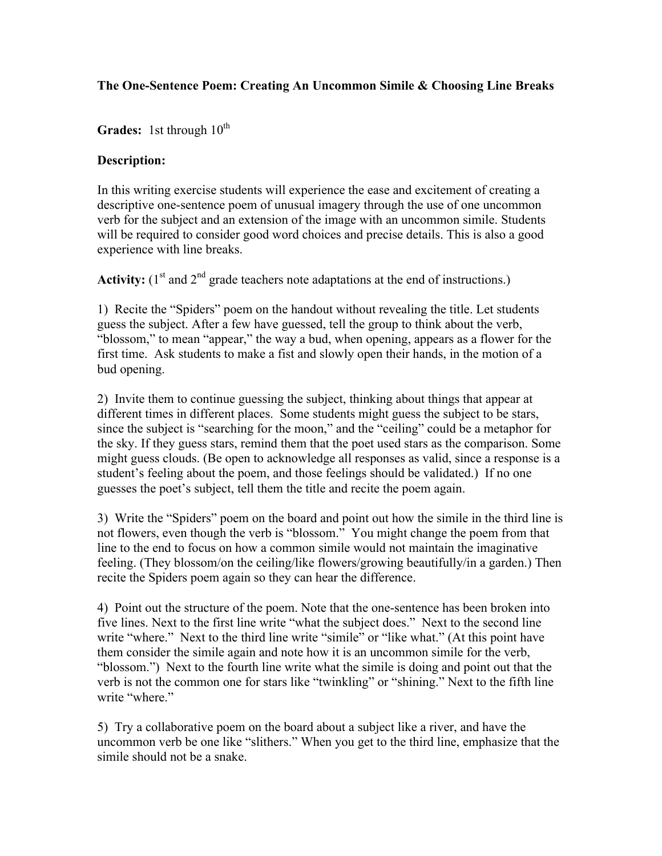## **The One-Sentence Poem: Creating An Uncommon Simile & Choosing Line Breaks**

## **Grades:** 1st through  $10^{th}$

## **Description:**

In this writing exercise students will experience the ease and excitement of creating a descriptive one-sentence poem of unusual imagery through the use of one uncommon verb for the subject and an extension of the image with an uncommon simile. Students will be required to consider good word choices and precise details. This is also a good experience with line breaks.

**Activity:**  $(1^{\text{st}}$  and  $2^{\text{nd}}$  grade teachers note adaptations at the end of instructions.)

1) Recite the "Spiders" poem on the handout without revealing the title. Let students guess the subject. After a few have guessed, tell the group to think about the verb, "blossom," to mean "appear," the way a bud, when opening, appears as a flower for the first time. Ask students to make a fist and slowly open their hands, in the motion of a bud opening.

2) Invite them to continue guessing the subject, thinking about things that appear at different times in different places. Some students might guess the subject to be stars, since the subject is "searching for the moon," and the "ceiling" could be a metaphor for the sky. If they guess stars, remind them that the poet used stars as the comparison. Some might guess clouds. (Be open to acknowledge all responses as valid, since a response is a student's feeling about the poem, and those feelings should be validated.) If no one guesses the poet's subject, tell them the title and recite the poem again.

3) Write the "Spiders" poem on the board and point out how the simile in the third line is not flowers, even though the verb is "blossom." You might change the poem from that line to the end to focus on how a common simile would not maintain the imaginative feeling. (They blossom/on the ceiling/like flowers/growing beautifully/in a garden.) Then recite the Spiders poem again so they can hear the difference.

4) Point out the structure of the poem. Note that the one-sentence has been broken into five lines. Next to the first line write "what the subject does." Next to the second line write "where." Next to the third line write "simile" or "like what." (At this point have them consider the simile again and note how it is an uncommon simile for the verb, "blossom.") Next to the fourth line write what the simile is doing and point out that the verb is not the common one for stars like "twinkling" or "shining." Next to the fifth line write "where."

5) Try a collaborative poem on the board about a subject like a river, and have the uncommon verb be one like "slithers." When you get to the third line, emphasize that the simile should not be a snake.